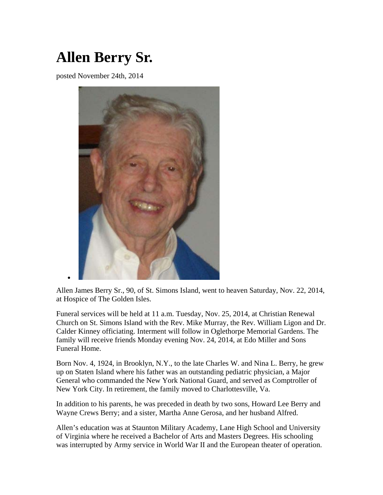## **Allen Berry Sr.**

posted November 24th, 2014



Allen James Berry Sr., 90, of St. Simons Island, went to heaven Saturday, Nov. 22, 2014, at Hospice of The Golden Isles.

Funeral services will be held at 11 a.m. Tuesday, Nov. 25, 2014, at Christian Renewal Church on St. Simons Island with the Rev. Mike Murray, the Rev. William Ligon and Dr. Calder Kinney officiating. Interment will follow in Oglethorpe Memorial Gardens. The family will receive friends Monday evening Nov. 24, 2014, at Edo Miller and Sons Funeral Home.

Born Nov. 4, 1924, in Brooklyn, N.Y., to the late Charles W. and Nina L. Berry, he grew up on Staten Island where his father was an outstanding pediatric physician, a Major General who commanded the New York National Guard, and served as Comptroller of New York City. In retirement, the family moved to Charlottesville, Va.

In addition to his parents, he was preceded in death by two sons, Howard Lee Berry and Wayne Crews Berry; and a sister, Martha Anne Gerosa, and her husband Alfred.

Allen's education was at Staunton Military Academy, Lane High School and University of Virginia where he received a Bachelor of Arts and Masters Degrees. His schooling was interrupted by Army service in World War II and the European theater of operation.